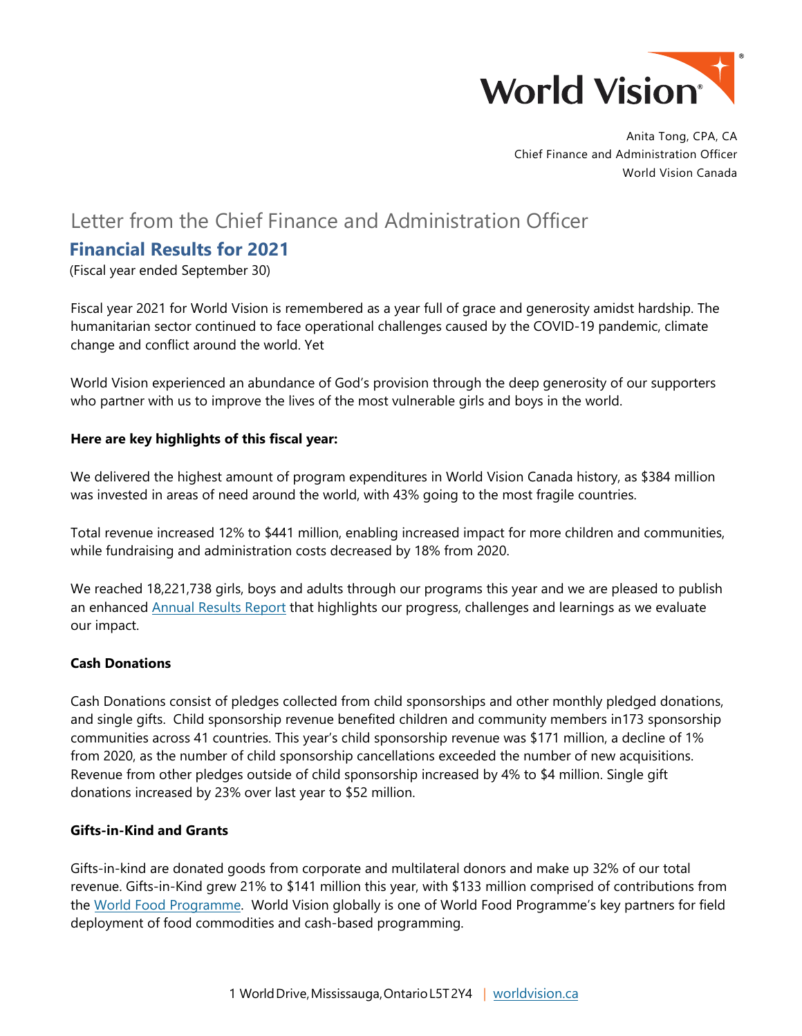

Anita Tong, CPA, CA Chief Finance and Administration Officer World Vision Canada

# Letter from the Chief Finance and Administration Officer

# **Financial Results for 2021**

(Fiscal year ended September 30)

Fiscal year 2021 for World Vision is remembered as a year full of grace and generosity amidst hardship. The humanitarian sector continued to face operational challenges caused by the COVID-19 pandemic, climate change and conflict around the world. Yet

World Vision experienced an abundance of God's provision through the deep generosity of our supporters who partner with us to improve the lives of the most vulnerable girls and boys in the world.

## **Here are key highlights of this fiscal year:**

We delivered the highest amount of program expenditures in World Vision Canada history, as \$384 million was invested in areas of need around the world, with 43% going to the most fragile countries.

Total revenue increased 12% to \$441 million, enabling increased impact for more children and communities, while fundraising and administration costs decreased by 18% from 2020.

We reached 18,221,738 girls, boys and adults through our programs this year and we are pleased to publish an enhanced [Annual Results Report](https://www.worldvision.ca/WorldVisionCanada/media/annual-report-pdfs/World-Vision-Canada-Annual-Results-Report-FY2021-220505C_AODA.pdf) that highlights our progress, challenges and learnings as we evaluate our impact.

#### **Cash Donations**

Cash Donations consist of pledges collected from child sponsorships and other monthly pledged donations, and single gifts. Child sponsorship revenue benefited children and community members in173 sponsorship communities across 41 countries. This year's child sponsorship revenue was \$171 million, a decline of 1% from 2020, as the number of child sponsorship cancellations exceeded the number of new acquisitions. Revenue from other pledges outside of child sponsorship increased by 4% to \$4 million. Single gift donations increased by 23% over last year to \$52 million.

#### **Gifts-in-Kind and Grants**

Gifts-in-kind are donated goods from corporate and multilateral donors and make up 32% of our total revenue. Gifts-in-Kind grew 21% to \$141 million this year, with \$133 million comprised of contributions from the [World Food Programme.](https://www.wfp.org/) World Vision globally is one of World Food Programme's key partners for field deployment of food commodities and cash-based programming.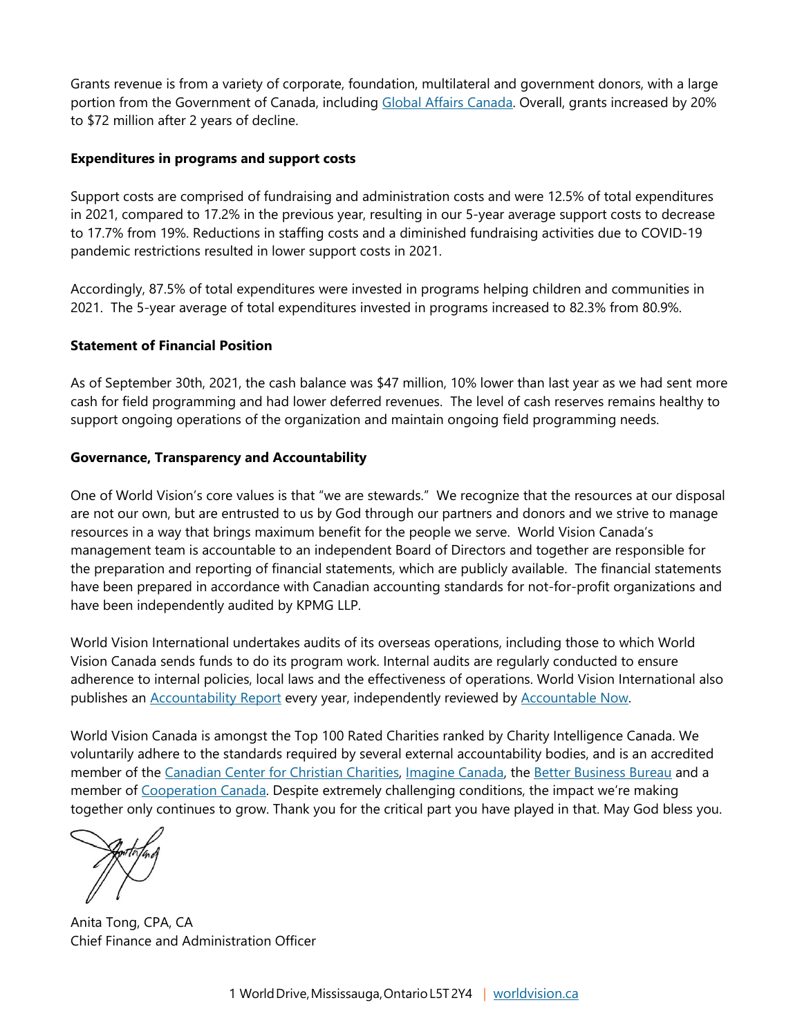Grants revenue is from a variety of corporate, foundation, multilateral and government donors, with a large portion from the Government of Canada, including [Global Affairs Canada.](https://www.international.gc.ca/global-affairs-affaires-mondiales/home-accueil.aspx?lang=eng) Overall, grants increased by 20% to \$72 million after 2 years of decline.

# **Expenditures in programs and support costs**

Support costs are comprised of fundraising and administration costs and were 12.5% of total expenditures in 2021, compared to 17.2% in the previous year, resulting in our 5-year average support costs to decrease to 17.7% from 19%. Reductions in staffing costs and a diminished fundraising activities due to COVID-19 pandemic restrictions resulted in lower support costs in 2021.

Accordingly, 87.5% of total expenditures were invested in programs helping children and communities in 2021. The 5-year average of total expenditures invested in programs increased to 82.3% from 80.9%.

# **Statement of Financial Position**

As of September 30th, 2021, the cash balance was \$47 million, 10% lower than last year as we had sent more cash for field programming and had lower deferred revenues. The level of cash reserves remains healthy to support ongoing operations of the organization and maintain ongoing field programming needs.

## **Governance, Transparency and Accountability**

One of World Vision's core values is that "we are stewards." We recognize that the resources at our disposal are not our own, but are entrusted to us by God through our partners and donors and we strive to manage resources in a way that brings maximum benefit for the people we serve. World Vision Canada's management team is accountable to an independent Board of Directors and together are responsible for the preparation and reporting of financial statements, which are publicly available. The financial statements have been prepared in accordance with Canadian accounting standards for not-for-profit organizations and have been independently audited by KPMG LLP.

World Vision International undertakes audits of its overseas operations, including those to which World Vision Canada sends funds to do its program work. Internal audits are regularly conducted to ensure adherence to internal policies, local laws and the effectiveness of operations. World Vision International also publishes an **Accountability Report every year, independently reviewed by [Accountable Now.](https://accountablenow.org/members/world-vision-international/)** 

World Vision Canada is amongst the Top 100 Rated Charities ranked by Charity Intelligence Canada. We voluntarily adhere to the standards required by several external accountability bodies, and is an accredited member of the [Canadian Center for Christian Charities,](https://www.cccc.org/) [Imagine Canada,](https://www.imaginecanada.ca/en/standards-program) the [Better Business Bureau](https://www.bbb.org/ca/on/mississauga/charity-review/charity-child-sponsorship/world-vision-canada-0187-2794) and a member of [Cooperation Canada.](https://cooperation.ca/) Despite extremely challenging conditions, the impact we're making together only continues to grow. Thank you for the critical part you have played in that. May God bless you.

Anita Tong, CPA, CA Chief Finance and Administration Officer